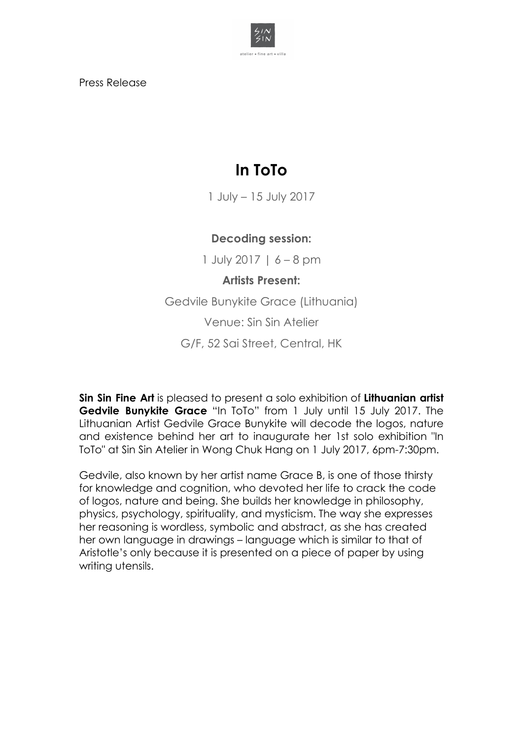

Press Release

## **In ToTo**

1 July – 15 July 2017

## **Decoding session:**

1 July 2017 | 6 – 8 pm

## **Artists Present:**

Gedvile Bunykite Grace (Lithuania) Venue: Sin Sin Atelier

G/F, 52 Sai Street, Central, HK

**Sin Sin Fine Art** is pleased to present a solo exhibition of **Lithuanian artist Gedvile Bunykite Grace** "In ToTo" from 1 July until 15 July 2017. The Lithuanian Artist Gedvile Grace Bunykite will decode the logos, nature and existence behind her art to inaugurate her 1st solo exhibition "In ToTo" at Sin Sin Atelier in Wong Chuk Hang on 1 July 2017, 6pm-7:30pm.

Gedvile, also known by her artist name Grace B, is one of those thirsty for knowledge and cognition, who devoted her life to crack the code of logos, nature and being. She builds her knowledge in philosophy, physics, psychology, spirituality, and mysticism. The way she expresses her reasoning is wordless, symbolic and abstract, as she has created her own language in drawings – language which is similar to that of Aristotle's only because it is presented on a piece of paper by using writing utensils.